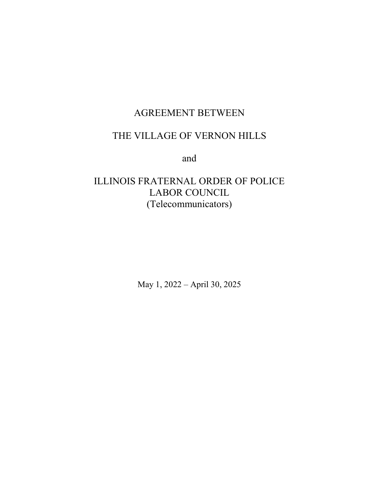# AGREEMENT BETWEEN

# THE VILLAGE OF VERNON HILLS

and

# ILLINOIS FRATERNAL ORDER OF POLICE LABOR COUNCIL (Telecommunicators)

May 1, 2022 – April 30, 2025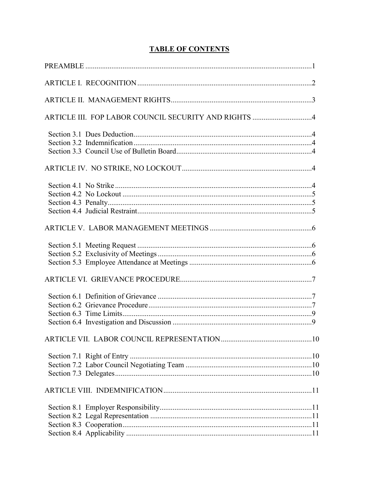|--|

| $\dots 10$ |  |
|------------|--|
|            |  |
|            |  |
|            |  |
|            |  |
|            |  |
|            |  |
|            |  |
|            |  |
|            |  |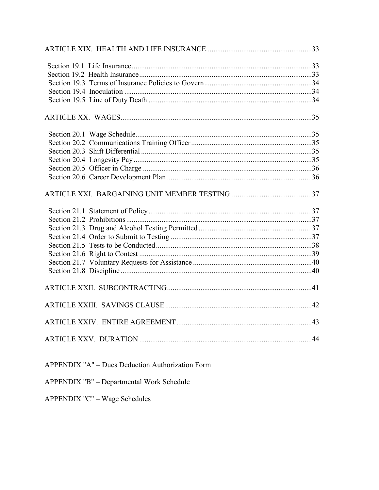| APPENDIX "A" – Dues Deduction Authorization Form |  |
|--------------------------------------------------|--|

APPENDIX "B" - Departmental Work Schedule

APPENDIX "C" - Wage Schedules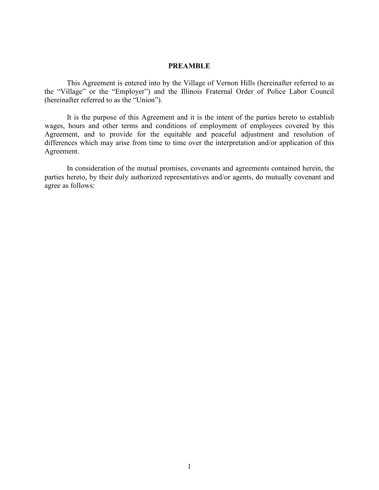# **PREAMBLE**

This Agreement is entered into by the Village of Vernon Hills (hereinafter referred to as the "Village" or the "Employer") and the Illinois Fraternal Order of Police Labor Council (hereinafter referred to as the "Union").

It is the purpose of this Agreement and it is the intent of the parties hereto to establish wages, hours and other terms and conditions of employment of employees covered by this Agreement, and to provide for the equitable and peaceful adjustment and resolution of differences which may arise from time to time over the interpretation and/or application of this Agreement.

In consideration of the mutual promises, covenants and agreements contained herein, the parties hereto, by their duly authorized representatives and/or agents, do mutually covenant and agree as follows: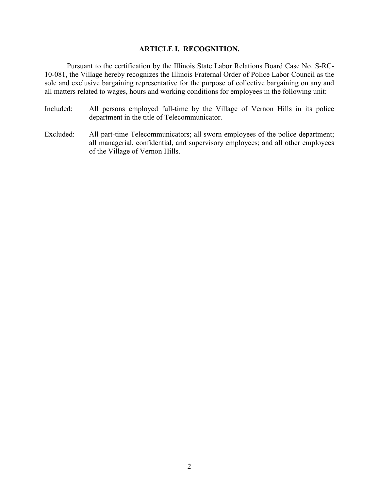# **ARTICLE I. RECOGNITION.**

Pursuant to the certification by the Illinois State Labor Relations Board Case No. S-RC-10-081, the Village hereby recognizes the Illinois Fraternal Order of Police Labor Council as the sole and exclusive bargaining representative for the purpose of collective bargaining on any and all matters related to wages, hours and working conditions for employees in the following unit:

- Included: All persons employed full-time by the Village of Vernon Hills in its police department in the title of Telecommunicator.
- Excluded: All part-time Telecommunicators; all sworn employees of the police department; all managerial, confidential, and supervisory employees; and all other employees of the Village of Vernon Hills.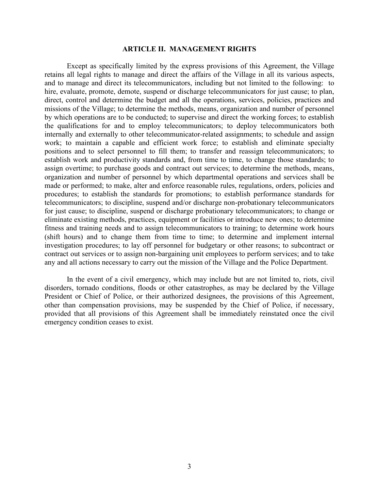### **ARTICLE II. MANAGEMENT RIGHTS**

Except as specifically limited by the express provisions of this Agreement, the Village retains all legal rights to manage and direct the affairs of the Village in all its various aspects, and to manage and direct its telecommunicators, including but not limited to the following: to hire, evaluate, promote, demote, suspend or discharge telecommunicators for just cause; to plan, direct, control and determine the budget and all the operations, services, policies, practices and missions of the Village; to determine the methods, means, organization and number of personnel by which operations are to be conducted; to supervise and direct the working forces; to establish the qualifications for and to employ telecommunicators; to deploy telecommunicators both internally and externally to other telecommunicator-related assignments; to schedule and assign work; to maintain a capable and efficient work force; to establish and eliminate specialty positions and to select personnel to fill them; to transfer and reassign telecommunicators; to establish work and productivity standards and, from time to time, to change those standards; to assign overtime; to purchase goods and contract out services; to determine the methods, means, organization and number of personnel by which departmental operations and services shall be made or performed; to make, alter and enforce reasonable rules, regulations, orders, policies and procedures; to establish the standards for promotions; to establish performance standards for telecommunicators; to discipline, suspend and/or discharge non-probationary telecommunicators for just cause; to discipline, suspend or discharge probationary telecommunicators; to change or eliminate existing methods, practices, equipment or facilities or introduce new ones; to determine fitness and training needs and to assign telecommunicators to training; to determine work hours (shift hours) and to change them from time to time; to determine and implement internal investigation procedures; to lay off personnel for budgetary or other reasons; to subcontract or contract out services or to assign non-bargaining unit employees to perform services; and to take any and all actions necessary to carry out the mission of the Village and the Police Department.

In the event of a civil emergency, which may include but are not limited to, riots, civil disorders, tornado conditions, floods or other catastrophes, as may be declared by the Village President or Chief of Police, or their authorized designees, the provisions of this Agreement, other than compensation provisions, may be suspended by the Chief of Police, if necessary, provided that all provisions of this Agreement shall be immediately reinstated once the civil emergency condition ceases to exist.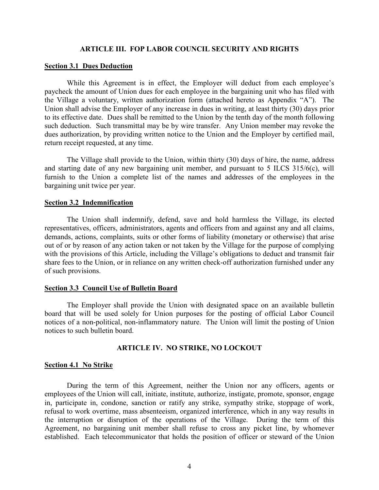### **ARTICLE III. FOP LABOR COUNCIL SECURITY AND RIGHTS**

#### **Section 3.1 Dues Deduction**

While this Agreement is in effect, the Employer will deduct from each employee's paycheck the amount of Union dues for each employee in the bargaining unit who has filed with the Village a voluntary, written authorization form (attached hereto as Appendix "A"). The Union shall advise the Employer of any increase in dues in writing, at least thirty (30) days prior to its effective date. Dues shall be remitted to the Union by the tenth day of the month following such deduction. Such transmittal may be by wire transfer. Any Union member may revoke the dues authorization, by providing written notice to the Union and the Employer by certified mail, return receipt requested, at any time.

The Village shall provide to the Union, within thirty (30) days of hire, the name, address and starting date of any new bargaining unit member, and pursuant to 5 ILCS 315/6(c), will furnish to the Union a complete list of the names and addresses of the employees in the bargaining unit twice per year.

### **Section 3.2 Indemnification**

The Union shall indemnify, defend, save and hold harmless the Village, its elected representatives, officers, administrators, agents and officers from and against any and all claims, demands, actions, complaints, suits or other forms of liability (monetary or otherwise) that arise out of or by reason of any action taken or not taken by the Village for the purpose of complying with the provisions of this Article, including the Village's obligations to deduct and transmit fair share fees to the Union, or in reliance on any written check-off authorization furnished under any of such provisions.

### **Section 3.3 Council Use of Bulletin Board**

The Employer shall provide the Union with designated space on an available bulletin board that will be used solely for Union purposes for the posting of official Labor Council notices of a non-political, non-inflammatory nature. The Union will limit the posting of Union notices to such bulletin board.

### **ARTICLE IV. NO STRIKE, NO LOCKOUT**

### **Section 4.1 No Strike**

During the term of this Agreement, neither the Union nor any officers, agents or employees of the Union will call, initiate, institute, authorize, instigate, promote, sponsor, engage in, participate in, condone, sanction or ratify any strike, sympathy strike, stoppage of work, refusal to work overtime, mass absenteeism, organized interference, which in any way results in the interruption or disruption of the operations of the Village. During the term of this Agreement, no bargaining unit member shall refuse to cross any picket line, by whomever established. Each telecommunicator that holds the position of officer or steward of the Union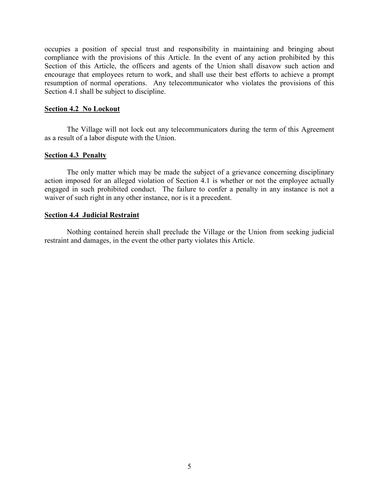occupies a position of special trust and responsibility in maintaining and bringing about compliance with the provisions of this Article. In the event of any action prohibited by this Section of this Article, the officers and agents of the Union shall disavow such action and encourage that employees return to work, and shall use their best efforts to achieve a prompt resumption of normal operations. Any telecommunicator who violates the provisions of this Section 4.1 shall be subject to discipline.

# **Section 4.2 No Lockout**

The Village will not lock out any telecommunicators during the term of this Agreement as a result of a labor dispute with the Union.

# **Section 4.3 Penalty**

The only matter which may be made the subject of a grievance concerning disciplinary action imposed for an alleged violation of Section 4.1 is whether or not the employee actually engaged in such prohibited conduct. The failure to confer a penalty in any instance is not a waiver of such right in any other instance, nor is it a precedent.

# **Section 4.4 Judicial Restraint**

Nothing contained herein shall preclude the Village or the Union from seeking judicial restraint and damages, in the event the other party violates this Article.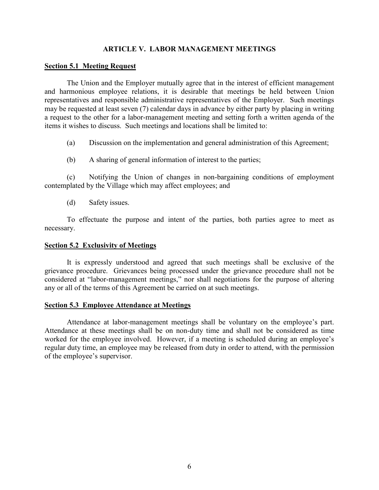# **ARTICLE V. LABOR MANAGEMENT MEETINGS**

# **Section 5.1 Meeting Request**

The Union and the Employer mutually agree that in the interest of efficient management and harmonious employee relations, it is desirable that meetings be held between Union representatives and responsible administrative representatives of the Employer. Such meetings may be requested at least seven (7) calendar days in advance by either party by placing in writing a request to the other for a labor-management meeting and setting forth a written agenda of the items it wishes to discuss. Such meetings and locations shall be limited to:

(a) Discussion on the implementation and general administration of this Agreement;

(b) A sharing of general information of interest to the parties;

(c) Notifying the Union of changes in non-bargaining conditions of employment contemplated by the Village which may affect employees; and

(d) Safety issues.

To effectuate the purpose and intent of the parties, both parties agree to meet as necessary.

### **Section 5.2 Exclusivity of Meetings**

It is expressly understood and agreed that such meetings shall be exclusive of the grievance procedure. Grievances being processed under the grievance procedure shall not be considered at "labor-management meetings," nor shall negotiations for the purpose of altering any or all of the terms of this Agreement be carried on at such meetings.

### **Section 5.3 Employee Attendance at Meetings**

Attendance at labor-management meetings shall be voluntary on the employee's part. Attendance at these meetings shall be on non-duty time and shall not be considered as time worked for the employee involved. However, if a meeting is scheduled during an employee's regular duty time, an employee may be released from duty in order to attend, with the permission of the employee's supervisor.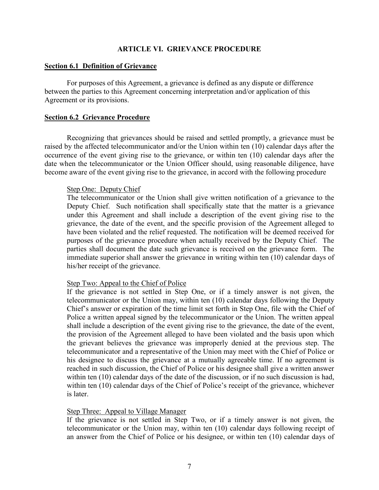# **ARTICLE VI. GRIEVANCE PROCEDURE**

### **Section 6.1 Definition of Grievance**

For purposes of this Agreement, a grievance is defined as any dispute or difference between the parties to this Agreement concerning interpretation and/or application of this Agreement or its provisions.

# **Section 6.2 Grievance Procedure**

Recognizing that grievances should be raised and settled promptly, a grievance must be raised by the affected telecommunicator and/or the Union within ten (10) calendar days after the occurrence of the event giving rise to the grievance, or within ten (10) calendar days after the date when the telecommunicator or the Union Officer should, using reasonable diligence, have become aware of the event giving rise to the grievance, in accord with the following procedure

# Step One: Deputy Chief

The telecommunicator or the Union shall give written notification of a grievance to the Deputy Chief. Such notification shall specifically state that the matter is a grievance under this Agreement and shall include a description of the event giving rise to the grievance, the date of the event, and the specific provision of the Agreement alleged to have been violated and the relief requested. The notification will be deemed received for purposes of the grievance procedure when actually received by the Deputy Chief. The parties shall document the date such grievance is received on the grievance form. The immediate superior shall answer the grievance in writing within ten (10) calendar days of his/her receipt of the grievance.

# Step Two: Appeal to the Chief of Police

If the grievance is not settled in Step One, or if a timely answer is not given, the telecommunicator or the Union may, within ten (10) calendar days following the Deputy Chief's answer or expiration of the time limit set forth in Step One, file with the Chief of Police a written appeal signed by the telecommunicator or the Union. The written appeal shall include a description of the event giving rise to the grievance, the date of the event, the provision of the Agreement alleged to have been violated and the basis upon which the grievant believes the grievance was improperly denied at the previous step. The telecommunicator and a representative of the Union may meet with the Chief of Police or his designee to discuss the grievance at a mutually agreeable time. If no agreement is reached in such discussion, the Chief of Police or his designee shall give a written answer within ten (10) calendar days of the date of the discussion, or if no such discussion is had, within ten (10) calendar days of the Chief of Police's receipt of the grievance, whichever is later.

# Step Three: Appeal to Village Manager

If the grievance is not settled in Step Two, or if a timely answer is not given, the telecommunicator or the Union may, within ten (10) calendar days following receipt of an answer from the Chief of Police or his designee, or within ten (10) calendar days of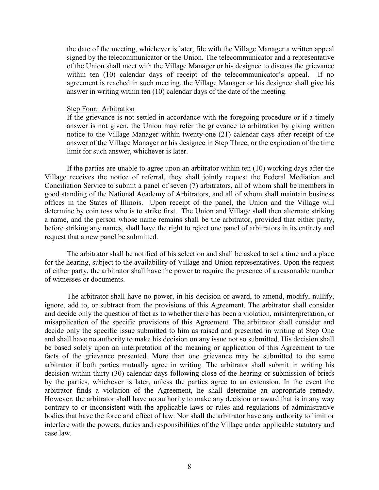the date of the meeting, whichever is later, file with the Village Manager a written appeal signed by the telecommunicator or the Union. The telecommunicator and a representative of the Union shall meet with the Village Manager or his designee to discuss the grievance within ten (10) calendar days of receipt of the telecommunicator's appeal. If no agreement is reached in such meeting, the Village Manager or his designee shall give his answer in writing within ten (10) calendar days of the date of the meeting.

### Step Four: Arbitration

If the grievance is not settled in accordance with the foregoing procedure or if a timely answer is not given, the Union may refer the grievance to arbitration by giving written notice to the Village Manager within twenty-one (21) calendar days after receipt of the answer of the Village Manager or his designee in Step Three, or the expiration of the time limit for such answer, whichever is later.

If the parties are unable to agree upon an arbitrator within ten (10) working days after the Village receives the notice of referral, they shall jointly request the Federal Mediation and Conciliation Service to submit a panel of seven (7) arbitrators, all of whom shall be members in good standing of the National Academy of Arbitrators, and all of whom shall maintain business offices in the States of Illinois. Upon receipt of the panel, the Union and the Village will determine by coin toss who is to strike first. The Union and Village shall then alternate striking a name, and the person whose name remains shall be the arbitrator, provided that either party, before striking any names, shall have the right to reject one panel of arbitrators in its entirety and request that a new panel be submitted.

The arbitrator shall be notified of his selection and shall be asked to set a time and a place for the hearing, subject to the availability of Village and Union representatives. Upon the request of either party, the arbitrator shall have the power to require the presence of a reasonable number of witnesses or documents.

The arbitrator shall have no power, in his decision or award, to amend, modify, nullify, ignore, add to, or subtract from the provisions of this Agreement. The arbitrator shall consider and decide only the question of fact as to whether there has been a violation, misinterpretation, or misapplication of the specific provisions of this Agreement. The arbitrator shall consider and decide only the specific issue submitted to him as raised and presented in writing at Step One and shall have no authority to make his decision on any issue not so submitted. His decision shall be based solely upon an interpretation of the meaning or application of this Agreement to the facts of the grievance presented. More than one grievance may be submitted to the same arbitrator if both parties mutually agree in writing. The arbitrator shall submit in writing his decision within thirty (30) calendar days following close of the hearing or submission of briefs by the parties, whichever is later, unless the parties agree to an extension. In the event the arbitrator finds a violation of the Agreement, he shall determine an appropriate remedy. However, the arbitrator shall have no authority to make any decision or award that is in any way contrary to or inconsistent with the applicable laws or rules and regulations of administrative bodies that have the force and effect of law. Nor shall the arbitrator have any authority to limit or interfere with the powers, duties and responsibilities of the Village under applicable statutory and case law.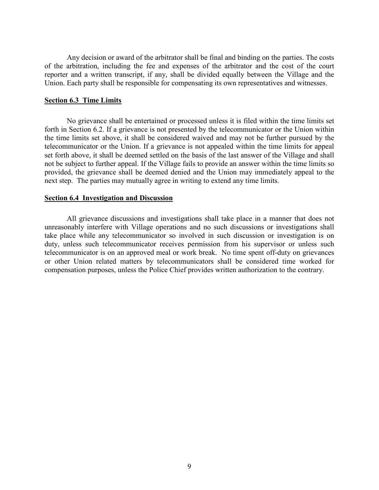Any decision or award of the arbitrator shall be final and binding on the parties. The costs of the arbitration, including the fee and expenses of the arbitrator and the cost of the court reporter and a written transcript, if any, shall be divided equally between the Village and the Union. Each party shall be responsible for compensating its own representatives and witnesses.

### **Section 6.3 Time Limits**

No grievance shall be entertained or processed unless it is filed within the time limits set forth in Section 6.2. If a grievance is not presented by the telecommunicator or the Union within the time limits set above, it shall be considered waived and may not be further pursued by the telecommunicator or the Union. If a grievance is not appealed within the time limits for appeal set forth above, it shall be deemed settled on the basis of the last answer of the Village and shall not be subject to further appeal. If the Village fails to provide an answer within the time limits so provided, the grievance shall be deemed denied and the Union may immediately appeal to the next step. The parties may mutually agree in writing to extend any time limits.

#### **Section 6.4 Investigation and Discussion**

All grievance discussions and investigations shall take place in a manner that does not unreasonably interfere with Village operations and no such discussions or investigations shall take place while any telecommunicator so involved in such discussion or investigation is on duty, unless such telecommunicator receives permission from his supervisor or unless such telecommunicator is on an approved meal or work break. No time spent off-duty on grievances or other Union related matters by telecommunicators shall be considered time worked for compensation purposes, unless the Police Chief provides written authorization to the contrary.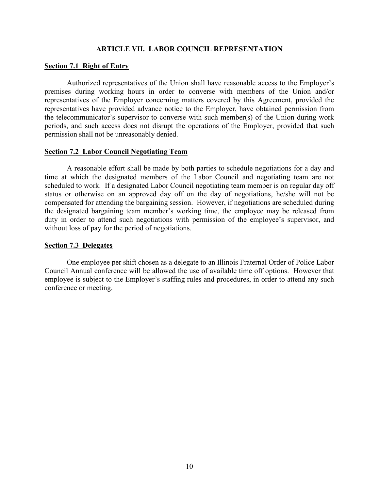# **ARTICLE VII. LABOR COUNCIL REPRESENTATION**

# **Section 7.1 Right of Entry**

Authorized representatives of the Union shall have reasonable access to the Employer's premises during working hours in order to converse with members of the Union and/or representatives of the Employer concerning matters covered by this Agreement, provided the representatives have provided advance notice to the Employer, have obtained permission from the telecommunicator's supervisor to converse with such member(s) of the Union during work periods, and such access does not disrupt the operations of the Employer, provided that such permission shall not be unreasonably denied.

# **Section 7.2 Labor Council Negotiating Team**

A reasonable effort shall be made by both parties to schedule negotiations for a day and time at which the designated members of the Labor Council and negotiating team are not scheduled to work. If a designated Labor Council negotiating team member is on regular day off status or otherwise on an approved day off on the day of negotiations, he/she will not be compensated for attending the bargaining session. However, if negotiations are scheduled during the designated bargaining team member's working time, the employee may be released from duty in order to attend such negotiations with permission of the employee's supervisor, and without loss of pay for the period of negotiations.

### **Section 7.3 Delegates**

 One employee per shift chosen as a delegate to an Illinois Fraternal Order of Police Labor Council Annual conference will be allowed the use of available time off options. However that employee is subject to the Employer's staffing rules and procedures, in order to attend any such conference or meeting.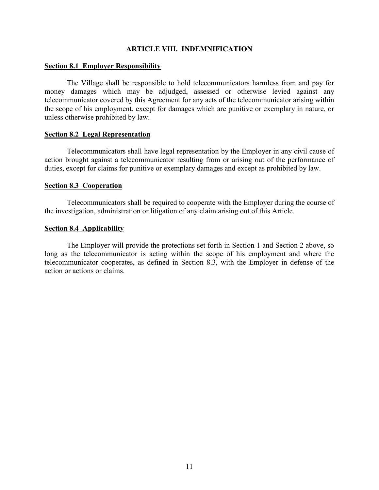# **ARTICLE VIII. INDEMNIFICATION**

### **Section 8.1 Employer Responsibility**

The Village shall be responsible to hold telecommunicators harmless from and pay for money damages which may be adjudged, assessed or otherwise levied against any telecommunicator covered by this Agreement for any acts of the telecommunicator arising within the scope of his employment, except for damages which are punitive or exemplary in nature, or unless otherwise prohibited by law.

### **Section 8.2 Legal Representation**

Telecommunicators shall have legal representation by the Employer in any civil cause of action brought against a telecommunicator resulting from or arising out of the performance of duties, except for claims for punitive or exemplary damages and except as prohibited by law.

### **Section 8.3 Cooperation**

Telecommunicators shall be required to cooperate with the Employer during the course of the investigation, administration or litigation of any claim arising out of this Article.

### **Section 8.4 Applicability**

The Employer will provide the protections set forth in Section 1 and Section 2 above, so long as the telecommunicator is acting within the scope of his employment and where the telecommunicator cooperates, as defined in Section 8.3, with the Employer in defense of the action or actions or claims.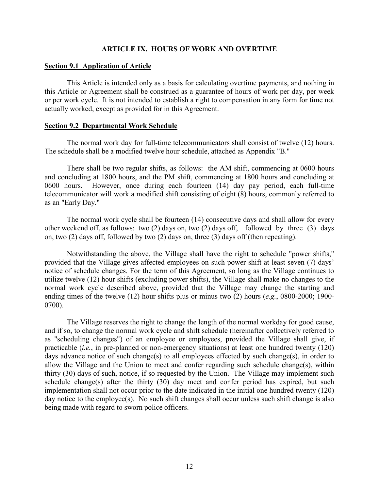### **ARTICLE IX. HOURS OF WORK AND OVERTIME**

### **Section 9.1 Application of Article**

This Article is intended only as a basis for calculating overtime payments, and nothing in this Article or Agreement shall be construed as a guarantee of hours of work per day, per week or per work cycle. It is not intended to establish a right to compensation in any form for time not actually worked, except as provided for in this Agreement.

# **Section 9.2 Departmental Work Schedule**

The normal work day for full-time telecommunicators shall consist of twelve (12) hours. The schedule shall be a modified twelve hour schedule, attached as Appendix "B."

There shall be two regular shifts, as follows: the AM shift, commencing at 0600 hours and concluding at 1800 hours, and the PM shift, commencing at 1800 hours and concluding at 0600 hours. However, once during each fourteen (14) day pay period, each full-time telecommunicator will work a modified shift consisting of eight (8) hours, commonly referred to as an "Early Day."

The normal work cycle shall be fourteen (14) consecutive days and shall allow for every other weekend off, as follows: two (2) days on, two (2) days off, followed by three (3) days on, two (2) days off, followed by two (2) days on, three (3) days off (then repeating).

Notwithstanding the above, the Village shall have the right to schedule "power shifts," provided that the Village gives affected employees on such power shift at least seven (7) days' notice of schedule changes. For the term of this Agreement, so long as the Village continues to utilize twelve (12) hour shifts (excluding power shifts), the Village shall make no changes to the normal work cycle described above, provided that the Village may change the starting and ending times of the twelve (12) hour shifts plus or minus two (2) hours (*e.g.*, 0800-2000; 1900- 0700).

 The Village reserves the right to change the length of the normal workday for good cause, and if so, to change the normal work cycle and shift schedule (hereinafter collectively referred to as "scheduling changes") of an employee or employees, provided the Village shall give, if practicable (*i.e.*, in pre-planned or non-emergency situations) at least one hundred twenty (120) days advance notice of such change(s) to all employees effected by such change(s), in order to allow the Village and the Union to meet and confer regarding such schedule change(s), within thirty (30) days of such, notice, if so requested by the Union. The Village may implement such schedule change(s) after the thirty (30) day meet and confer period has expired, but such implementation shall not occur prior to the date indicated in the initial one hundred twenty (120) day notice to the employee(s). No such shift changes shall occur unless such shift change is also being made with regard to sworn police officers.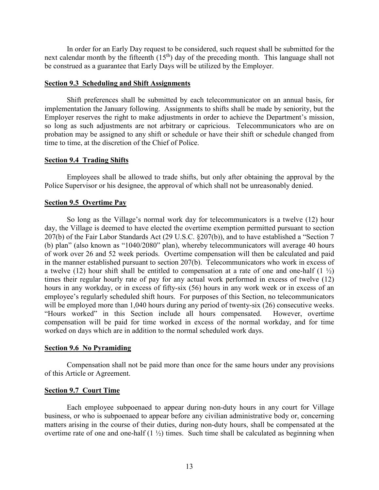In order for an Early Day request to be considered, such request shall be submitted for the next calendar month by the fifteenth  $(15<sup>th</sup>)$  day of the preceding month. This language shall not be construed as a guarantee that Early Days will be utilized by the Employer.

### **Section 9.3 Scheduling and Shift Assignments**

Shift preferences shall be submitted by each telecommunicator on an annual basis, for implementation the January following. Assignments to shifts shall be made by seniority, but the Employer reserves the right to make adjustments in order to achieve the Department's mission, so long as such adjustments are not arbitrary or capricious. Telecommunicators who are on probation may be assigned to any shift or schedule or have their shift or schedule changed from time to time, at the discretion of the Chief of Police.

### **Section 9.4 Trading Shifts**

Employees shall be allowed to trade shifts, but only after obtaining the approval by the Police Supervisor or his designee, the approval of which shall not be unreasonably denied.

### **Section 9.5 Overtime Pay**

So long as the Village's normal work day for telecommunicators is a twelve (12) hour day, the Village is deemed to have elected the overtime exemption permitted pursuant to section 207(b) of the Fair Labor Standards Act (29 U.S.C. §207(b)), and to have established a "Section 7 (b) plan" (also known as "1040/2080" plan), whereby telecommunicators will average 40 hours of work over 26 and 52 week periods. Overtime compensation will then be calculated and paid in the manner established pursuant to section 207(b). Telecommunicators who work in excess of a twelve (12) hour shift shall be entitled to compensation at a rate of one and one-half (1  $\frac{1}{2}$ ) times their regular hourly rate of pay for any actual work performed in excess of twelve (12) hours in any workday, or in excess of fifty-six (56) hours in any work week or in excess of an employee's regularly scheduled shift hours. For purposes of this Section, no telecommunicators will be employed more than 1,040 hours during any period of twenty-six (26) consecutive weeks. "Hours worked" in this Section include all hours compensated. However, overtime compensation will be paid for time worked in excess of the normal workday, and for time worked on days which are in addition to the normal scheduled work days.

# **Section 9.6 No Pyramiding**

Compensation shall not be paid more than once for the same hours under any provisions of this Article or Agreement.

### **Section 9.7 Court Time**

Each employee subpoenaed to appear during non-duty hours in any court for Village business, or who is subpoenaed to appear before any civilian administrative body or, concerning matters arising in the course of their duties, during non-duty hours, shall be compensated at the overtime rate of one and one-half  $(1 \frac{1}{2})$  times. Such time shall be calculated as beginning when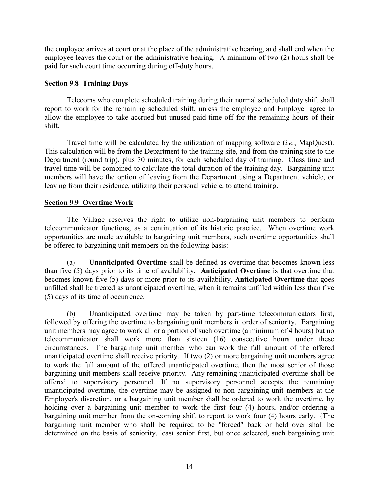the employee arrives at court or at the place of the administrative hearing, and shall end when the employee leaves the court or the administrative hearing. A minimum of two (2) hours shall be paid for such court time occurring during off-duty hours.

# **Section 9.8 Training Days**

Telecoms who complete scheduled training during their normal scheduled duty shift shall report to work for the remaining scheduled shift, unless the employee and Employer agree to allow the employee to take accrued but unused paid time off for the remaining hours of their shift.

Travel time will be calculated by the utilization of mapping software (*i.e.*, MapQuest). This calculation will be from the Department to the training site, and from the training site to the Department (round trip), plus 30 minutes, for each scheduled day of training. Class time and travel time will be combined to calculate the total duration of the training day. Bargaining unit members will have the option of leaving from the Department using a Department vehicle, or leaving from their residence, utilizing their personal vehicle, to attend training.

# **Section 9.9 Overtime Work**

The Village reserves the right to utilize non-bargaining unit members to perform telecommunicator functions, as a continuation of its historic practice. When overtime work opportunities are made available to bargaining unit members, such overtime opportunities shall be offered to bargaining unit members on the following basis:

(a) **Unanticipated Overtime** shall be defined as overtime that becomes known less than five (5) days prior to its time of availability. **Anticipated Overtime** is that overtime that becomes known five (5) days or more prior to its availability. **Anticipated Overtime** that goes unfilled shall be treated as unanticipated overtime, when it remains unfilled within less than five (5) days of its time of occurrence.

(b) Unanticipated overtime may be taken by part-time telecommunicators first, followed by offering the overtime to bargaining unit members in order of seniority. Bargaining unit members may agree to work all or a portion of such overtime (a minimum of 4 hours) but no telecommunicator shall work more than sixteen (16) consecutive hours under these circumstances. The bargaining unit member who can work the full amount of the offered unanticipated overtime shall receive priority. If two (2) or more bargaining unit members agree to work the full amount of the offered unanticipated overtime, then the most senior of those bargaining unit members shall receive priority. Any remaining unanticipated overtime shall be offered to supervisory personnel. If no supervisory personnel accepts the remaining unanticipated overtime, the overtime may be assigned to non-bargaining unit members at the Employer's discretion, or a bargaining unit member shall be ordered to work the overtime, by holding over a bargaining unit member to work the first four (4) hours, and/or ordering a bargaining unit member from the on-coming shift to report to work four (4) hours early. (The bargaining unit member who shall be required to be "forced" back or held over shall be determined on the basis of seniority, least senior first, but once selected, such bargaining unit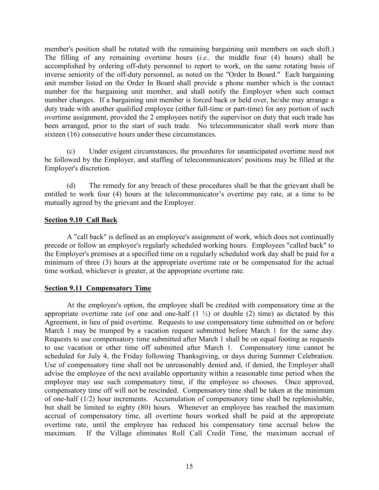member's position shall be rotated with the remaining bargaining unit members on such shift.) The filling of any remaining overtime hours (*i.e.,* the middle four (4) hours) shall be accomplished by ordering off-duty personnel to report to work, on the same rotating basis of inverse seniority of the off-duty personnel, as noted on the "Order In Board." Each bargaining unit member listed on the Order In Board shall provide a phone number which is the contact number for the bargaining unit member, and shall notify the Employer when such contact number changes. If a bargaining unit member is forced back or held over, he/she may arrange a duty trade with another qualified employee (either full-time or part-time) for any portion of such overtime assignment, provided the 2 employees notify the supervisor on duty that such trade has been arranged, prior to the start of such trade. No telecommunicator shall work more than sixteen (16) consecutive hours under these circumstances.

(c) Under exigent circumstances, the procedures for unanticipated overtime need not be followed by the Employer, and staffing of telecommunicators' positions may be filled at the Employer's discretion.

(d) The remedy for any breach of these procedures shall be that the grievant shall be entitled to work four (4) hours at the telecommunicator's overtime pay rate, at a time to be mutually agreed by the grievant and the Employer.

# **Section 9.10 Call Back**

A "call back" is defined as an employee's assignment of work, which does not continually precede or follow an employee's regularly scheduled working hours. Employees "called back" to the Employer's premises at a specified time on a regularly scheduled work day shall be paid for a minimum of three (3) hours at the appropriate overtime rate or be compensated for the actual time worked, whichever is greater, at the appropriate overtime rate.

# **Section 9.11 Compensatory Time**

At the employee's option, the employee shall be credited with compensatory time at the appropriate overtime rate (of one and one-half  $(1 \frac{1}{2})$  or double (2) time) as dictated by this Agreement, in lieu of paid overtime. Requests to use compensatory time submitted on or before March 1 may be trumped by a vacation request submitted before March 1 for the same day. Requests to use compensatory time submitted after March 1 shall be on equal footing as requests to use vacation or other time off submitted after March 1. Compensatory time cannot be scheduled for July 4, the Friday following Thanksgiving, or days during Summer Celebration. Use of compensatory time shall not be unreasonably denied and, if denied, the Employer shall advise the employee of the next available opportunity within a reasonable time period when the employee may use such compensatory time, if the employee so chooses. Once approved, compensatory time off will not be rescinded. Compensatory time shall be taken at the minimum of one-half (1/2) hour increments. Accumulation of compensatory time shall be replenishable, but shall be limited to eighty (80) hours. Whenever an employee has reached the maximum accrual of compensatory time, all overtime hours worked shall be paid at the appropriate overtime rate, until the employee has reduced his compensatory time accrual below the maximum. If the Village eliminates Roll Call Credit Time, the maximum accrual of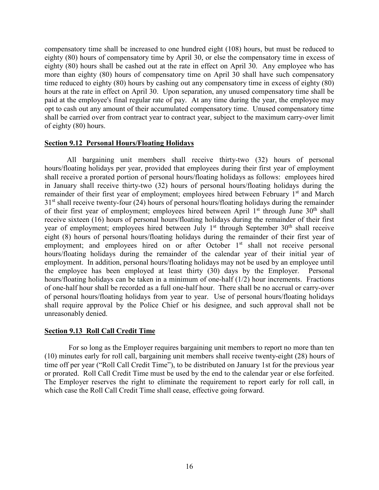compensatory time shall be increased to one hundred eight (108) hours, but must be reduced to eighty (80) hours of compensatory time by April 30, or else the compensatory time in excess of eighty (80) hours shall be cashed out at the rate in effect on April 30. Any employee who has more than eighty (80) hours of compensatory time on April 30 shall have such compensatory time reduced to eighty (80) hours by cashing out any compensatory time in excess of eighty (80) hours at the rate in effect on April 30. Upon separation, any unused compensatory time shall be paid at the employee's final regular rate of pay. At any time during the year, the employee may opt to cash out any amount of their accumulated compensatory time. Unused compensatory time shall be carried over from contract year to contract year, subject to the maximum carry-over limit of eighty (80) hours.

# **Section 9.12 Personal Hours/Floating Holidays**

All bargaining unit members shall receive thirty-two (32) hours of personal hours/floating holidays per year, provided that employees during their first year of employment shall receive a prorated portion of personal hours/floating holidays as follows: employees hired in January shall receive thirty-two (32) hours of personal hours/floating holidays during the remainder of their first year of employment; employees hired between February 1<sup>st</sup> and March  $31<sup>st</sup>$  shall receive twenty-four (24) hours of personal hours/floating holidays during the remainder of their first year of employment; employees hired between April  $1<sup>st</sup>$  through June  $30<sup>th</sup>$  shall receive sixteen (16) hours of personal hours/floating holidays during the remainder of their first year of employment; employees hired between July  $1<sup>st</sup>$  through September 30<sup>th</sup> shall receive eight (8) hours of personal hours/floating holidays during the remainder of their first year of employment; and employees hired on or after October 1<sup>st</sup> shall not receive personal hours/floating holidays during the remainder of the calendar year of their initial year of employment. In addition, personal hours/floating holidays may not be used by an employee until the employee has been employed at least thirty (30) days by the Employer. Personal hours/floating holidays can be taken in a minimum of one-half (1/2) hour increments. Fractions of one-half hour shall be recorded as a full one-half hour. There shall be no accrual or carry-over of personal hours/floating holidays from year to year. Use of personal hours/floating holidays shall require approval by the Police Chief or his designee, and such approval shall not be unreasonably denied.

# **Section 9.13 Roll Call Credit Time**

 For so long as the Employer requires bargaining unit members to report no more than ten (10) minutes early for roll call, bargaining unit members shall receive twenty-eight (28) hours of time off per year ("Roll Call Credit Time"), to be distributed on January 1st for the previous year or prorated. Roll Call Credit Time must be used by the end to the calendar year or else forfeited. The Employer reserves the right to eliminate the requirement to report early for roll call, in which case the Roll Call Credit Time shall cease, effective going forward.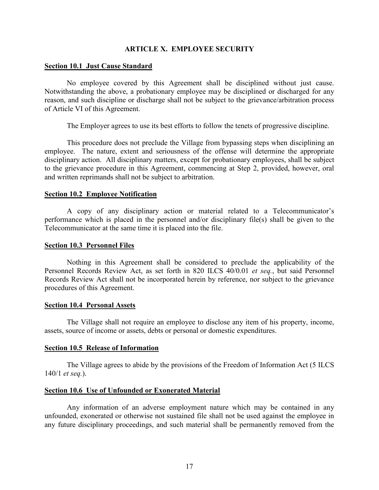### **ARTICLE X. EMPLOYEE SECURITY**

### **Section 10.1 Just Cause Standard**

No employee covered by this Agreement shall be disciplined without just cause. Notwithstanding the above, a probationary employee may be disciplined or discharged for any reason, and such discipline or discharge shall not be subject to the grievance/arbitration process of Article VI of this Agreement.

The Employer agrees to use its best efforts to follow the tenets of progressive discipline.

This procedure does not preclude the Village from bypassing steps when disciplining an employee. The nature, extent and seriousness of the offense will determine the appropriate disciplinary action. All disciplinary matters, except for probationary employees, shall be subject to the grievance procedure in this Agreement, commencing at Step 2, provided, however, oral and written reprimands shall not be subject to arbitration.

### **Section 10.2 Employee Notification**

A copy of any disciplinary action or material related to a Telecommunicator's performance which is placed in the personnel and/or disciplinary file(s) shall be given to the Telecommunicator at the same time it is placed into the file.

#### **Section 10.3 Personnel Files**

Nothing in this Agreement shall be considered to preclude the applicability of the Personnel Records Review Act, as set forth in 820 ILCS 40/0.01 *et seq.*, but said Personnel Records Review Act shall not be incorporated herein by reference, nor subject to the grievance procedures of this Agreement.

#### **Section 10.4 Personal Assets**

The Village shall not require an employee to disclose any item of his property, income, assets, source of income or assets, debts or personal or domestic expenditures.

#### **Section 10.5 Release of Information**

The Village agrees to abide by the provisions of the Freedom of Information Act (5 ILCS 140/1 *et seq.*).

### **Section 10.6 Use of Unfounded or Exonerated Material**

Any information of an adverse employment nature which may be contained in any unfounded, exonerated or otherwise not sustained file shall not be used against the employee in any future disciplinary proceedings, and such material shall be permanently removed from the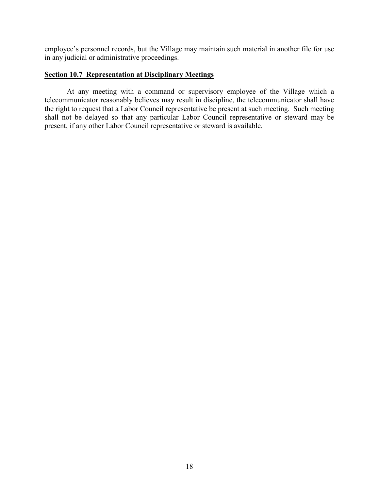employee's personnel records, but the Village may maintain such material in another file for use in any judicial or administrative proceedings.

# **Section 10.7 Representation at Disciplinary Meetings**

At any meeting with a command or supervisory employee of the Village which a telecommunicator reasonably believes may result in discipline, the telecommunicator shall have the right to request that a Labor Council representative be present at such meeting. Such meeting shall not be delayed so that any particular Labor Council representative or steward may be present, if any other Labor Council representative or steward is available.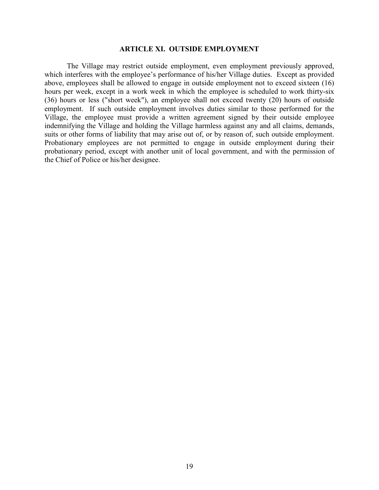#### **ARTICLE XI. OUTSIDE EMPLOYMENT**

The Village may restrict outside employment, even employment previously approved, which interferes with the employee's performance of his/her Village duties. Except as provided above, employees shall be allowed to engage in outside employment not to exceed sixteen (16) hours per week, except in a work week in which the employee is scheduled to work thirty-six (36) hours or less ("short week"), an employee shall not exceed twenty (20) hours of outside employment. If such outside employment involves duties similar to those performed for the Village, the employee must provide a written agreement signed by their outside employee indemnifying the Village and holding the Village harmless against any and all claims, demands, suits or other forms of liability that may arise out of, or by reason of, such outside employment. Probationary employees are not permitted to engage in outside employment during their probationary period, except with another unit of local government, and with the permission of the Chief of Police or his/her designee.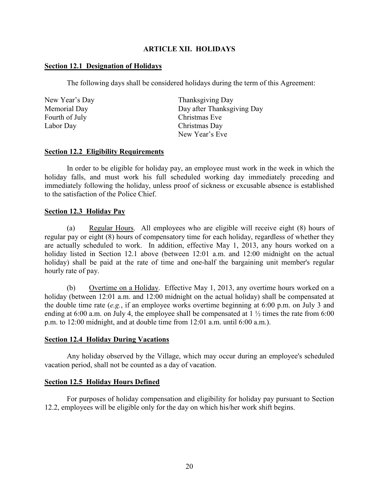# **ARTICLE XII. HOLIDAYS**

# **Section 12.1 Designation of Holidays**

The following days shall be considered holidays during the term of this Agreement:

Fourth of July **Christmas Eve** Labor Day Christmas Day

New Year's Day Thanksgiving Day Memorial Day **Day after Thanksgiving Day** New Year's Eve

# **Section 12.2 Eligibility Requirements**

In order to be eligible for holiday pay, an employee must work in the week in which the holiday falls, and must work his full scheduled working day immediately preceding and immediately following the holiday, unless proof of sickness or excusable absence is established to the satisfaction of the Police Chief.

# **Section 12.3 Holiday Pay**

(a) Regular Hours. All employees who are eligible will receive eight (8) hours of regular pay or eight (8) hours of compensatory time for each holiday, regardless of whether they are actually scheduled to work. In addition, effective May 1, 2013, any hours worked on a holiday listed in Section 12.1 above (between 12:01 a.m. and 12:00 midnight on the actual holiday) shall be paid at the rate of time and one-half the bargaining unit member's regular hourly rate of pay.

(b) Overtime on a Holiday. Effective May 1, 2013, any overtime hours worked on a holiday (between 12:01 a.m. and 12:00 midnight on the actual holiday) shall be compensated at the double time rate (*e.g.*, if an employee works overtime beginning at 6:00 p.m. on July 3 and ending at 6:00 a.m. on July 4, the employee shall be compensated at 1  $\frac{1}{2}$  times the rate from 6:00 p.m. to 12:00 midnight, and at double time from 12:01 a.m. until 6:00 a.m.).

### **Section 12.4 Holiday During Vacations**

Any holiday observed by the Village, which may occur during an employee's scheduled vacation period, shall not be counted as a day of vacation.

# **Section 12.5 Holiday Hours Defined**

For purposes of holiday compensation and eligibility for holiday pay pursuant to Section 12.2, employees will be eligible only for the day on which his/her work shift begins.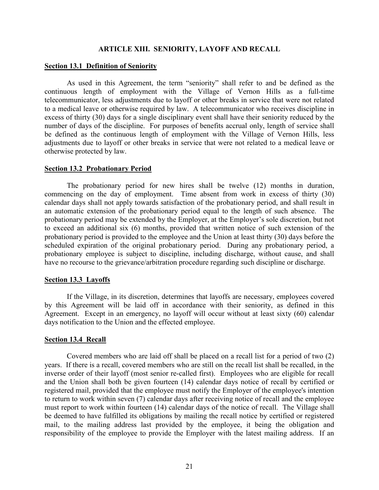### **ARTICLE XIII. SENIORITY, LAYOFF AND RECALL**

### **Section 13.1 Definition of Seniority**

As used in this Agreement, the term "seniority" shall refer to and be defined as the continuous length of employment with the Village of Vernon Hills as a full-time telecommunicator, less adjustments due to layoff or other breaks in service that were not related to a medical leave or otherwise required by law. A telecommunicator who receives discipline in excess of thirty (30) days for a single disciplinary event shall have their seniority reduced by the number of days of the discipline. For purposes of benefits accrual only, length of service shall be defined as the continuous length of employment with the Village of Vernon Hills, less adjustments due to layoff or other breaks in service that were not related to a medical leave or otherwise protected by law.

### **Section 13.2 Probationary Period**

The probationary period for new hires shall be twelve (12) months in duration, commencing on the day of employment. Time absent from work in excess of thirty (30) calendar days shall not apply towards satisfaction of the probationary period, and shall result in an automatic extension of the probationary period equal to the length of such absence. The probationary period may be extended by the Employer, at the Employer's sole discretion, but not to exceed an additional six (6) months, provided that written notice of such extension of the probationary period is provided to the employee and the Union at least thirty (30) days before the scheduled expiration of the original probationary period. During any probationary period, a probationary employee is subject to discipline, including discharge, without cause, and shall have no recourse to the grievance/arbitration procedure regarding such discipline or discharge.

### **Section 13.3 Layoffs**

If the Village, in its discretion, determines that layoffs are necessary, employees covered by this Agreement will be laid off in accordance with their seniority, as defined in this Agreement. Except in an emergency, no layoff will occur without at least sixty (60) calendar days notification to the Union and the effected employee.

#### **Section 13.4 Recall**

Covered members who are laid off shall be placed on a recall list for a period of two (2) years. If there is a recall, covered members who are still on the recall list shall be recalled, in the inverse order of their layoff (most senior re-called first). Employees who are eligible for recall and the Union shall both be given fourteen (14) calendar days notice of recall by certified or registered mail, provided that the employee must notify the Employer of the employee's intention to return to work within seven (7) calendar days after receiving notice of recall and the employee must report to work within fourteen (14) calendar days of the notice of recall. The Village shall be deemed to have fulfilled its obligations by mailing the recall notice by certified or registered mail, to the mailing address last provided by the employee, it being the obligation and responsibility of the employee to provide the Employer with the latest mailing address. If an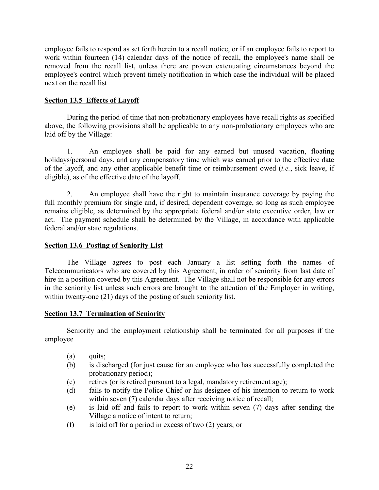employee fails to respond as set forth herein to a recall notice, or if an employee fails to report to work within fourteen (14) calendar days of the notice of recall, the employee's name shall be removed from the recall list, unless there are proven extenuating circumstances beyond the employee's control which prevent timely notification in which case the individual will be placed next on the recall list

# **Section 13.5 Effects of Layoff**

During the period of time that non-probationary employees have recall rights as specified above, the following provisions shall be applicable to any non-probationary employees who are laid off by the Village:

 1. An employee shall be paid for any earned but unused vacation, floating holidays/personal days, and any compensatory time which was earned prior to the effective date of the layoff, and any other applicable benefit time or reimbursement owed (*i.e.*, sick leave, if eligible), as of the effective date of the layoff.

 2. An employee shall have the right to maintain insurance coverage by paying the full monthly premium for single and, if desired, dependent coverage, so long as such employee remains eligible, as determined by the appropriate federal and/or state executive order, law or act. The payment schedule shall be determined by the Village, in accordance with applicable federal and/or state regulations.

# **Section 13.6 Posting of Seniority List**

The Village agrees to post each January a list setting forth the names of Telecommunicators who are covered by this Agreement, in order of seniority from last date of hire in a position covered by this Agreement. The Village shall not be responsible for any errors in the seniority list unless such errors are brought to the attention of the Employer in writing, within twenty-one (21) days of the posting of such seniority list.

# **Section 13.7 Termination of Seniority**

Seniority and the employment relationship shall be terminated for all purposes if the employee

- (a) quits;
- (b) is discharged (for just cause for an employee who has successfully completed the probationary period);
- (c) retires (or is retired pursuant to a legal, mandatory retirement age);
- (d) fails to notify the Police Chief or his designee of his intention to return to work within seven (7) calendar days after receiving notice of recall;
- (e) is laid off and fails to report to work within seven (7) days after sending the Village a notice of intent to return;
- (f) is laid off for a period in excess of two (2) years; or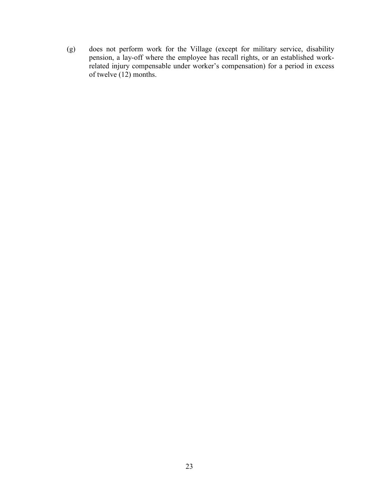(g) does not perform work for the Village (except for military service, disability pension, a lay-off where the employee has recall rights, or an established workrelated injury compensable under worker's compensation) for a period in excess of twelve (12) months.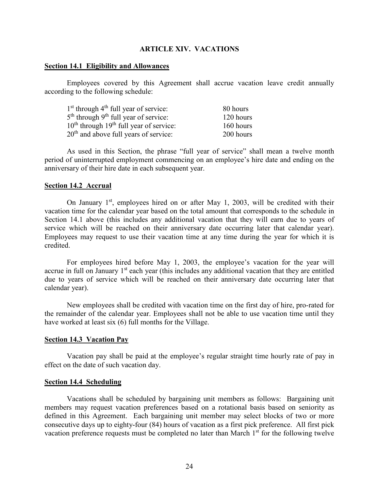### **ARTICLE XIV. VACATIONS**

### **Section 14.1 Eligibility and Allowances**

Employees covered by this Agreement shall accrue vacation leave credit annually according to the following schedule:

| $1st$ through $4th$ full year of service:           | 80 hours  |
|-----------------------------------------------------|-----------|
| $5th$ through 9 <sup>th</sup> full year of service: | 120 hours |
| $10th$ through $19th$ full year of service:         | 160 hours |
| $20th$ and above full years of service:             | 200 hours |

As used in this Section, the phrase "full year of service" shall mean a twelve month period of uninterrupted employment commencing on an employee's hire date and ending on the anniversary of their hire date in each subsequent year.

#### **Section 14.2 Accrual**

On January  $1<sup>st</sup>$ , employees hired on or after May 1, 2003, will be credited with their vacation time for the calendar year based on the total amount that corresponds to the schedule in Section 14.1 above (this includes any additional vacation that they will earn due to years of service which will be reached on their anniversary date occurring later that calendar year). Employees may request to use their vacation time at any time during the year for which it is credited.

For employees hired before May 1, 2003, the employee's vacation for the year will accrue in full on January  $1<sup>st</sup>$  each year (this includes any additional vacation that they are entitled due to years of service which will be reached on their anniversary date occurring later that calendar year).

New employees shall be credited with vacation time on the first day of hire, pro-rated for the remainder of the calendar year. Employees shall not be able to use vacation time until they have worked at least six (6) full months for the Village.

### **Section 14.3 Vacation Pay**

Vacation pay shall be paid at the employee's regular straight time hourly rate of pay in effect on the date of such vacation day.

### **Section 14.4 Scheduling**

Vacations shall be scheduled by bargaining unit members as follows: Bargaining unit members may request vacation preferences based on a rotational basis based on seniority as defined in this Agreement. Each bargaining unit member may select blocks of two or more consecutive days up to eighty-four (84) hours of vacation as a first pick preference. All first pick vacation preference requests must be completed no later than March 1<sup>st</sup> for the following twelve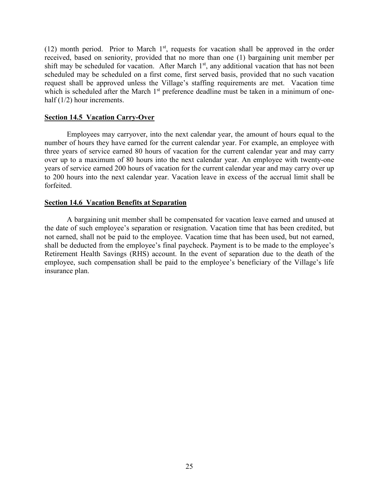(12) month period. Prior to March  $1<sup>st</sup>$ , requests for vacation shall be approved in the order received, based on seniority, provided that no more than one (1) bargaining unit member per shift may be scheduled for vacation. After March  $1<sup>st</sup>$ , any additional vacation that has not been scheduled may be scheduled on a first come, first served basis, provided that no such vacation request shall be approved unless the Village's staffing requirements are met. Vacation time which is scheduled after the March 1<sup>st</sup> preference deadline must be taken in a minimum of onehalf (1/2) hour increments.

# **Section 14.5 Vacation Carry-Over**

Employees may carryover, into the next calendar year, the amount of hours equal to the number of hours they have earned for the current calendar year. For example, an employee with three years of service earned 80 hours of vacation for the current calendar year and may carry over up to a maximum of 80 hours into the next calendar year. An employee with twenty-one years of service earned 200 hours of vacation for the current calendar year and may carry over up to 200 hours into the next calendar year. Vacation leave in excess of the accrual limit shall be forfeited.

# **Section 14.6 Vacation Benefits at Separation**

 A bargaining unit member shall be compensated for vacation leave earned and unused at the date of such employee's separation or resignation. Vacation time that has been credited, but not earned, shall not be paid to the employee. Vacation time that has been used, but not earned, shall be deducted from the employee's final paycheck. Payment is to be made to the employee's Retirement Health Savings (RHS) account. In the event of separation due to the death of the employee, such compensation shall be paid to the employee's beneficiary of the Village's life insurance plan.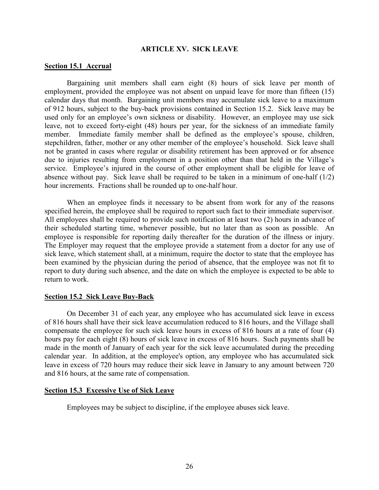# **ARTICLE XV. SICK LEAVE**

### **Section 15.1 Accrual**

Bargaining unit members shall earn eight (8) hours of sick leave per month of employment, provided the employee was not absent on unpaid leave for more than fifteen (15) calendar days that month. Bargaining unit members may accumulate sick leave to a maximum of 912 hours, subject to the buy-back provisions contained in Section 15.2. Sick leave may be used only for an employee's own sickness or disability. However, an employee may use sick leave, not to exceed forty-eight (48) hours per year, for the sickness of an immediate family member. Immediate family member shall be defined as the employee's spouse, children, stepchildren, father, mother or any other member of the employee's household. Sick leave shall not be granted in cases where regular or disability retirement has been approved or for absence due to injuries resulting from employment in a position other than that held in the Village's service. Employee's injured in the course of other employment shall be eligible for leave of absence without pay. Sick leave shall be required to be taken in a minimum of one-half (1/2) hour increments. Fractions shall be rounded up to one-half hour.

When an employee finds it necessary to be absent from work for any of the reasons specified herein, the employee shall be required to report such fact to their immediate supervisor. All employees shall be required to provide such notification at least two (2) hours in advance of their scheduled starting time, whenever possible, but no later than as soon as possible. An employee is responsible for reporting daily thereafter for the duration of the illness or injury. The Employer may request that the employee provide a statement from a doctor for any use of sick leave, which statement shall, at a minimum, require the doctor to state that the employee has been examined by the physician during the period of absence, that the employee was not fit to report to duty during such absence, and the date on which the employee is expected to be able to return to work.

### **Section 15.2 Sick Leave Buy-Back**

On December 31 of each year, any employee who has accumulated sick leave in excess of 816 hours shall have their sick leave accumulation reduced to 816 hours, and the Village shall compensate the employee for such sick leave hours in excess of 816 hours at a rate of four (4) hours pay for each eight (8) hours of sick leave in excess of 816 hours. Such payments shall be made in the month of January of each year for the sick leave accumulated during the preceding calendar year. In addition, at the employee's option, any employee who has accumulated sick leave in excess of 720 hours may reduce their sick leave in January to any amount between 720 and 816 hours, at the same rate of compensation.

### **Section 15.3 Excessive Use of Sick Leave**

Employees may be subject to discipline, if the employee abuses sick leave.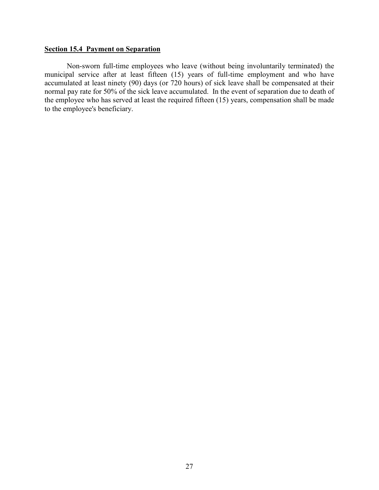# **Section 15.4 Payment on Separation**

Non-sworn full-time employees who leave (without being involuntarily terminated) the municipal service after at least fifteen (15) years of full-time employment and who have accumulated at least ninety (90) days (or 720 hours) of sick leave shall be compensated at their normal pay rate for 50% of the sick leave accumulated. In the event of separation due to death of the employee who has served at least the required fifteen (15) years, compensation shall be made to the employee's beneficiary.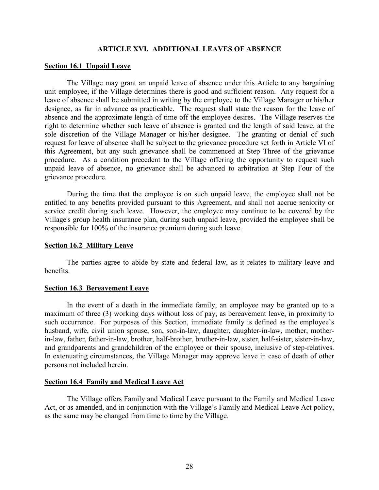### **ARTICLE XVI. ADDITIONAL LEAVES OF ABSENCE**

# **Section 16.1 Unpaid Leave**

The Village may grant an unpaid leave of absence under this Article to any bargaining unit employee, if the Village determines there is good and sufficient reason. Any request for a leave of absence shall be submitted in writing by the employee to the Village Manager or his/her designee, as far in advance as practicable. The request shall state the reason for the leave of absence and the approximate length of time off the employee desires. The Village reserves the right to determine whether such leave of absence is granted and the length of said leave, at the sole discretion of the Village Manager or his/her designee. The granting or denial of such request for leave of absence shall be subject to the grievance procedure set forth in Article VI of this Agreement, but any such grievance shall be commenced at Step Three of the grievance procedure. As a condition precedent to the Village offering the opportunity to request such unpaid leave of absence, no grievance shall be advanced to arbitration at Step Four of the grievance procedure.

During the time that the employee is on such unpaid leave, the employee shall not be entitled to any benefits provided pursuant to this Agreement, and shall not accrue seniority or service credit during such leave. However, the employee may continue to be covered by the Village's group health insurance plan, during such unpaid leave, provided the employee shall be responsible for 100% of the insurance premium during such leave.

### **Section 16.2 Military Leave**

The parties agree to abide by state and federal law, as it relates to military leave and benefits.

#### **Section 16.3 Bereavement Leave**

In the event of a death in the immediate family, an employee may be granted up to a maximum of three (3) working days without loss of pay, as bereavement leave, in proximity to such occurrence. For purposes of this Section, immediate family is defined as the employee's husband, wife, civil union spouse, son, son-in-law, daughter, daughter-in-law, mother, motherin-law, father, father-in-law, brother, half-brother, brother-in-law, sister, half-sister, sister-in-law, and grandparents and grandchildren of the employee or their spouse, inclusive of step-relatives. In extenuating circumstances, the Village Manager may approve leave in case of death of other persons not included herein.

#### **Section 16.4 Family and Medical Leave Act**

The Village offers Family and Medical Leave pursuant to the Family and Medical Leave Act, or as amended, and in conjunction with the Village's Family and Medical Leave Act policy, as the same may be changed from time to time by the Village.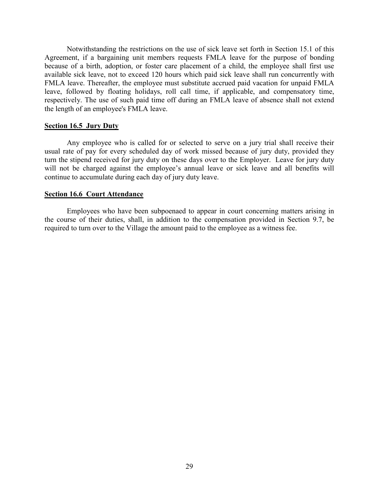Notwithstanding the restrictions on the use of sick leave set forth in Section 15.1 of this Agreement, if a bargaining unit members requests FMLA leave for the purpose of bonding because of a birth, adoption, or foster care placement of a child, the employee shall first use available sick leave, not to exceed 120 hours which paid sick leave shall run concurrently with FMLA leave. Thereafter, the employee must substitute accrued paid vacation for unpaid FMLA leave, followed by floating holidays, roll call time, if applicable, and compensatory time, respectively. The use of such paid time off during an FMLA leave of absence shall not extend the length of an employee's FMLA leave.

### **Section 16.5 Jury Duty**

Any employee who is called for or selected to serve on a jury trial shall receive their usual rate of pay for every scheduled day of work missed because of jury duty, provided they turn the stipend received for jury duty on these days over to the Employer. Leave for jury duty will not be charged against the employee's annual leave or sick leave and all benefits will continue to accumulate during each day of jury duty leave.

# **Section 16.6 Court Attendance**

Employees who have been subpoenaed to appear in court concerning matters arising in the course of their duties, shall, in addition to the compensation provided in Section 9.7, be required to turn over to the Village the amount paid to the employee as a witness fee.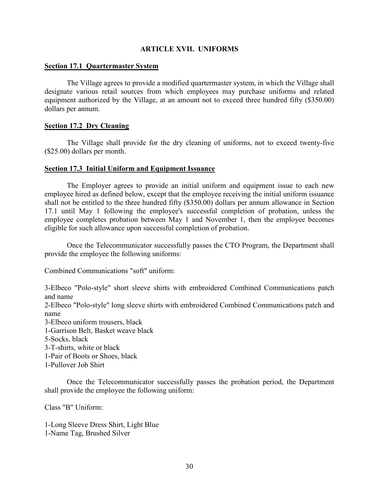# **ARTICLE XVII. UNIFORMS**

# **Section 17.1 Quartermaster System**

The Village agrees to provide a modified quartermaster system, in which the Village shall designate various retail sources from which employees may purchase uniforms and related equipment authorized by the Village, at an amount not to exceed three hundred fifty (\$350.00) dollars per annum.

# **Section 17.2 Dry Cleaning**

The Village shall provide for the dry cleaning of uniforms, not to exceed twenty-five (\$25.00) dollars per month.

# **Section 17.3 Initial Uniform and Equipment Issuance**

The Employer agrees to provide an initial uniform and equipment issue to each new employee hired as defined below, except that the employee receiving the initial uniform issuance shall not be entitled to the three hundred fifty (\$350.00) dollars per annum allowance in Section 17.1 until May 1 following the employee's successful completion of probation, unless the employee completes probation between May 1 and November 1, then the employee becomes eligible for such allowance upon successful completion of probation.

Once the Telecommunicator successfully passes the CTO Program, the Department shall provide the employee the following uniforms:

Combined Communications "soft" uniform:

3-Elbeco "Polo-style" short sleeve shirts with embroidered Combined Communications patch and name

2-Elbeco "Polo-style" long sleeve shirts with embroidered Combined Communications patch and name

3-Elbeco uniform trousers, black

1-Garrison Belt, Basket weave black

5-Socks, black

3-T-shirts, white or black

1-Pair of Boots or Shoes, black

1-Pullover Job Shirt

Once the Telecommunicator successfully passes the probation period, the Department shall provide the employee the following uniform:

Class "B" Uniform:

1-Long Sleeve Dress Shirt, Light Blue 1-Name Tag, Brushed Silver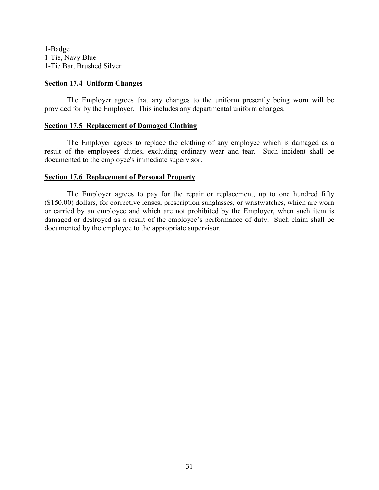1-Badge 1-Tie, Navy Blue 1-Tie Bar, Brushed Silver

### **Section 17.4 Uniform Changes**

The Employer agrees that any changes to the uniform presently being worn will be provided for by the Employer. This includes any departmental uniform changes.

# **Section 17.5 Replacement of Damaged Clothing**

The Employer agrees to replace the clothing of any employee which is damaged as a result of the employees' duties, excluding ordinary wear and tear. Such incident shall be documented to the employee's immediate supervisor.

# **Section 17.6 Replacement of Personal Property**

The Employer agrees to pay for the repair or replacement, up to one hundred fifty (\$150.00) dollars, for corrective lenses, prescription sunglasses, or wristwatches, which are worn or carried by an employee and which are not prohibited by the Employer, when such item is damaged or destroyed as a result of the employee's performance of duty. Such claim shall be documented by the employee to the appropriate supervisor.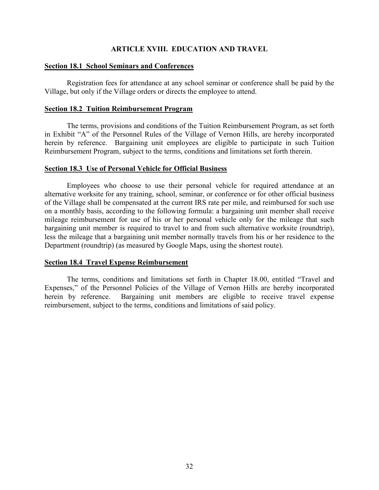# **ARTICLE XVIII. EDUCATION AND TRAVEL**

### **Section 18.1 School Seminars and Conferences**

Registration fees for attendance at any school seminar or conference shall be paid by the Village, but only if the Village orders or directs the employee to attend.

# **Section 18.2 Tuition Reimbursement Program**

The terms, provisions and conditions of the Tuition Reimbursement Program, as set forth in Exhibit "A" of the Personnel Rules of the Village of Vernon Hills, are hereby incorporated herein by reference. Bargaining unit employees are eligible to participate in such Tuition Reimbursement Program, subject to the terms, conditions and limitations set forth therein.

### **Section 18.3 Use of Personal Vehicle for Official Business**

Employees who choose to use their personal vehicle for required attendance at an alternative worksite for any training, school, seminar, or conference or for other official business of the Village shall be compensated at the current IRS rate per mile, and reimbursed for such use on a monthly basis, according to the following formula: a bargaining unit member shall receive mileage reimbursement for use of his or her personal vehicle only for the mileage that such bargaining unit member is required to travel to and from such alternative worksite (roundtrip), less the mileage that a bargaining unit member normally travels from his or her residence to the Department (roundtrip) (as measured by Google Maps, using the shortest route).

# **Section 18.4 Travel Expense Reimbursement**

The terms, conditions and limitations set forth in Chapter 18.00, entitled "Travel and Expenses," of the Personnel Policies of the Village of Vernon Hills are hereby incorporated herein by reference. Bargaining unit members are eligible to receive travel expense reimbursement, subject to the terms, conditions and limitations of said policy.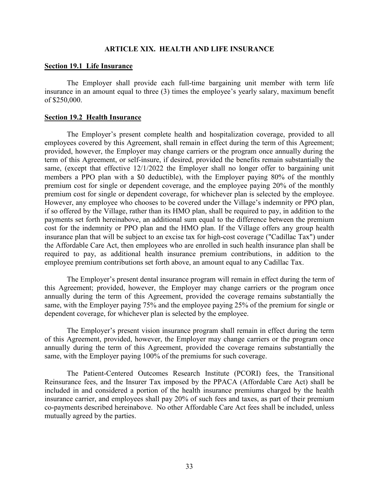### **ARTICLE XIX. HEALTH AND LIFE INSURANCE**

### **Section 19.1 Life Insurance**

The Employer shall provide each full-time bargaining unit member with term life insurance in an amount equal to three (3) times the employee's yearly salary, maximum benefit of \$250,000.

#### **Section 19.2 Health Insurance**

The Employer's present complete health and hospitalization coverage, provided to all employees covered by this Agreement, shall remain in effect during the term of this Agreement; provided, however, the Employer may change carriers or the program once annually during the term of this Agreement, or self-insure, if desired, provided the benefits remain substantially the same, (except that effective 12/1/2022 the Employer shall no longer offer to bargaining unit members a PPO plan with a \$0 deductible), with the Employer paying 80% of the monthly premium cost for single or dependent coverage, and the employee paying 20% of the monthly premium cost for single or dependent coverage, for whichever plan is selected by the employee. However, any employee who chooses to be covered under the Village's indemnity or PPO plan, if so offered by the Village, rather than its HMO plan, shall be required to pay, in addition to the payments set forth hereinabove, an additional sum equal to the difference between the premium cost for the indemnity or PPO plan and the HMO plan. If the Village offers any group health insurance plan that will be subject to an excise tax for high-cost coverage ("Cadillac Tax") under the Affordable Care Act, then employees who are enrolled in such health insurance plan shall be required to pay, as additional health insurance premium contributions, in addition to the employee premium contributions set forth above, an amount equal to any Cadillac Tax.

The Employer's present dental insurance program will remain in effect during the term of this Agreement; provided, however, the Employer may change carriers or the program once annually during the term of this Agreement, provided the coverage remains substantially the same, with the Employer paying 75% and the employee paying 25% of the premium for single or dependent coverage, for whichever plan is selected by the employee.

The Employer's present vision insurance program shall remain in effect during the term of this Agreement, provided, however, the Employer may change carriers or the program once annually during the term of this Agreement, provided the coverage remains substantially the same, with the Employer paying 100% of the premiums for such coverage.

The Patient-Centered Outcomes Research Institute (PCORI) fees, the Transitional Reinsurance fees, and the Insurer Tax imposed by the PPACA (Affordable Care Act) shall be included in and considered a portion of the health insurance premiums charged by the health insurance carrier, and employees shall pay 20% of such fees and taxes, as part of their premium co-payments described hereinabove. No other Affordable Care Act fees shall be included, unless mutually agreed by the parties.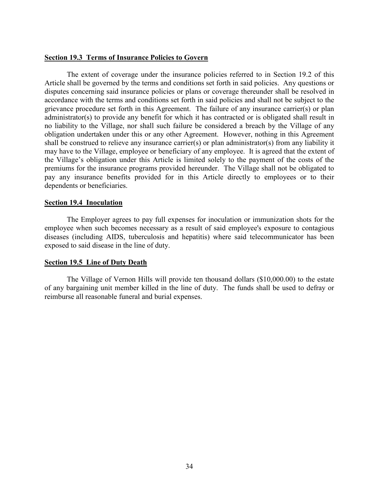### **Section 19.3 Terms of Insurance Policies to Govern**

The extent of coverage under the insurance policies referred to in Section 19.2 of this Article shall be governed by the terms and conditions set forth in said policies. Any questions or disputes concerning said insurance policies or plans or coverage thereunder shall be resolved in accordance with the terms and conditions set forth in said policies and shall not be subject to the grievance procedure set forth in this Agreement. The failure of any insurance carrier(s) or plan administrator(s) to provide any benefit for which it has contracted or is obligated shall result in no liability to the Village, nor shall such failure be considered a breach by the Village of any obligation undertaken under this or any other Agreement. However, nothing in this Agreement shall be construed to relieve any insurance carrier(s) or plan administrator(s) from any liability it may have to the Village, employee or beneficiary of any employee. It is agreed that the extent of the Village's obligation under this Article is limited solely to the payment of the costs of the premiums for the insurance programs provided hereunder. The Village shall not be obligated to pay any insurance benefits provided for in this Article directly to employees or to their dependents or beneficiaries.

### **Section 19.4 Inoculation**

The Employer agrees to pay full expenses for inoculation or immunization shots for the employee when such becomes necessary as a result of said employee's exposure to contagious diseases (including AIDS, tuberculosis and hepatitis) where said telecommunicator has been exposed to said disease in the line of duty.

### **Section 19.5 Line of Duty Death**

The Village of Vernon Hills will provide ten thousand dollars (\$10,000.00) to the estate of any bargaining unit member killed in the line of duty. The funds shall be used to defray or reimburse all reasonable funeral and burial expenses.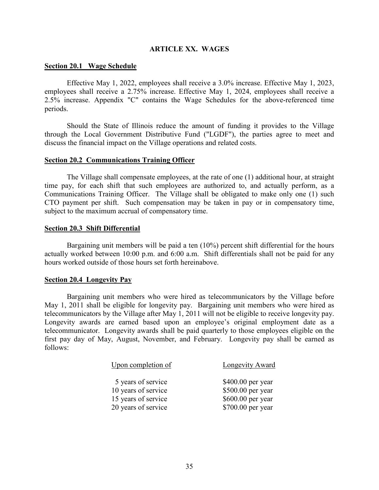# **ARTICLE XX. WAGES**

### **Section 20.1 Wage Schedule**

Effective May 1, 2022, employees shall receive a 3.0% increase. Effective May 1, 2023, employees shall receive a 2.75% increase. Effective May 1, 2024, employees shall receive a 2.5% increase. Appendix "C" contains the Wage Schedules for the above-referenced time periods.

Should the State of Illinois reduce the amount of funding it provides to the Village through the Local Government Distributive Fund ("LGDF"), the parties agree to meet and discuss the financial impact on the Village operations and related costs.

### **Section 20.2 Communications Training Officer**

The Village shall compensate employees, at the rate of one (1) additional hour, at straight time pay, for each shift that such employees are authorized to, and actually perform, as a Communications Training Officer. The Village shall be obligated to make only one (1) such CTO payment per shift. Such compensation may be taken in pay or in compensatory time, subject to the maximum accrual of compensatory time.

### **Section 20.3 Shift Differential**

Bargaining unit members will be paid a ten (10%) percent shift differential for the hours actually worked between 10:00 p.m. and 6:00 a.m. Shift differentials shall not be paid for any hours worked outside of those hours set forth hereinabove.

### **Section 20.4 Longevity Pay**

Bargaining unit members who were hired as telecommunicators by the Village before May 1, 2011 shall be eligible for longevity pay. Bargaining unit members who were hired as telecommunicators by the Village after May 1, 2011 will not be eligible to receive longevity pay. Longevity awards are earned based upon an employee's original employment date as a telecommunicator. Longevity awards shall be paid quarterly to those employees eligible on the first pay day of May, August, November, and February. Longevity pay shall be earned as follows:

| Upon completion of                         | Longevity Award                         |
|--------------------------------------------|-----------------------------------------|
| 5 years of service<br>10 years of service  | $$400.00$ per year<br>\$500.00 per year |
| 15 years of service<br>20 years of service | \$600.00 per year<br>$$700.00$ per year |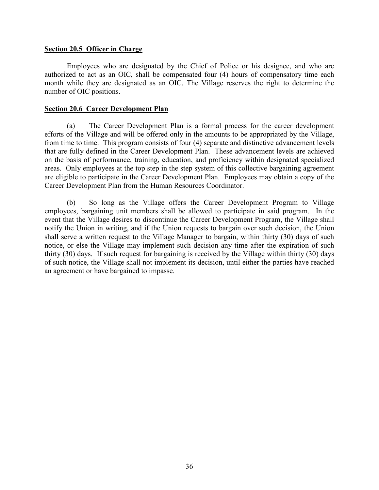# **Section 20.5 Officer in Charge**

Employees who are designated by the Chief of Police or his designee, and who are authorized to act as an OIC, shall be compensated four (4) hours of compensatory time each month while they are designated as an OIC. The Village reserves the right to determine the number of OIC positions.

# **Section 20.6 Career Development Plan**

(a) The Career Development Plan is a formal process for the career development efforts of the Village and will be offered only in the amounts to be appropriated by the Village, from time to time. This program consists of four (4) separate and distinctive advancement levels that are fully defined in the Career Development Plan. These advancement levels are achieved on the basis of performance, training, education, and proficiency within designated specialized areas. Only employees at the top step in the step system of this collective bargaining agreement are eligible to participate in the Career Development Plan. Employees may obtain a copy of the Career Development Plan from the Human Resources Coordinator.

(b) So long as the Village offers the Career Development Program to Village employees, bargaining unit members shall be allowed to participate in said program. In the event that the Village desires to discontinue the Career Development Program, the Village shall notify the Union in writing, and if the Union requests to bargain over such decision, the Union shall serve a written request to the Village Manager to bargain, within thirty (30) days of such notice, or else the Village may implement such decision any time after the expiration of such thirty (30) days. If such request for bargaining is received by the Village within thirty (30) days of such notice, the Village shall not implement its decision, until either the parties have reached an agreement or have bargained to impasse.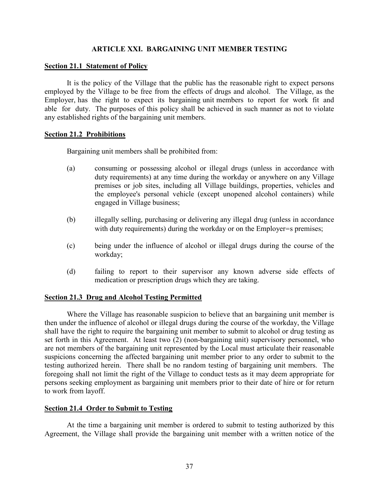# **ARTICLE XXI. BARGAINING UNIT MEMBER TESTING**

# **Section 21.1 Statement of Policy**

It is the policy of the Village that the public has the reasonable right to expect persons employed by the Village to be free from the effects of drugs and alcohol. The Village, as the Employer, has the right to expect its bargaining unit members to report for work fit and able for duty. The purposes of this policy shall be achieved in such manner as not to violate any established rights of the bargaining unit members.

# **Section 21.2 Prohibitions**

Bargaining unit members shall be prohibited from:

- (a) consuming or possessing alcohol or illegal drugs (unless in accordance with duty requirements) at any time during the workday or anywhere on any Village premises or job sites, including all Village buildings, properties, vehicles and the employee's personal vehicle (except unopened alcohol containers) while engaged in Village business;
- (b) illegally selling, purchasing or delivering any illegal drug (unless in accordance with duty requirements) during the workday or on the Employer=s premises;
- (c) being under the influence of alcohol or illegal drugs during the course of the workday;
- (d) failing to report to their supervisor any known adverse side effects of medication or prescription drugs which they are taking.

### **Section 21.3 Drug and Alcohol Testing Permitted**

Where the Village has reasonable suspicion to believe that an bargaining unit member is then under the influence of alcohol or illegal drugs during the course of the workday, the Village shall have the right to require the bargaining unit member to submit to alcohol or drug testing as set forth in this Agreement. At least two (2) (non-bargaining unit) supervisory personnel, who are not members of the bargaining unit represented by the Local must articulate their reasonable suspicions concerning the affected bargaining unit member prior to any order to submit to the testing authorized herein. There shall be no random testing of bargaining unit members. The foregoing shall not limit the right of the Village to conduct tests as it may deem appropriate for persons seeking employment as bargaining unit members prior to their date of hire or for return to work from layoff.

# **Section 21.4 Order to Submit to Testing**

At the time a bargaining unit member is ordered to submit to testing authorized by this Agreement, the Village shall provide the bargaining unit member with a written notice of the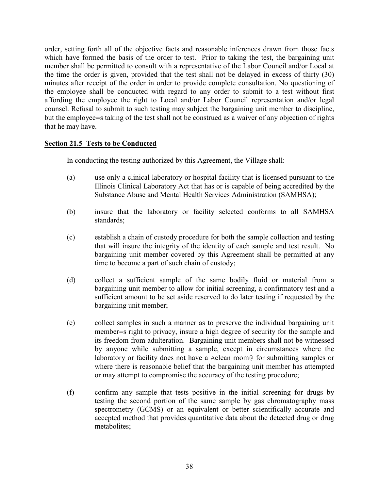order, setting forth all of the objective facts and reasonable inferences drawn from those facts which have formed the basis of the order to test. Prior to taking the test, the bargaining unit member shall be permitted to consult with a representative of the Labor Council and/or Local at the time the order is given, provided that the test shall not be delayed in excess of thirty (30) minutes after receipt of the order in order to provide complete consultation. No questioning of the employee shall be conducted with regard to any order to submit to a test without first affording the employee the right to Local and/or Labor Council representation and/or legal counsel. Refusal to submit to such testing may subject the bargaining unit member to discipline, but the employee=s taking of the test shall not be construed as a waiver of any objection of rights that he may have.

# **Section 21.5 Tests to be Conducted**

In conducting the testing authorized by this Agreement, the Village shall:

- (a) use only a clinical laboratory or hospital facility that is licensed pursuant to the Illinois Clinical Laboratory Act that has or is capable of being accredited by the Substance Abuse and Mental Health Services Administration (SAMHSA);
- (b) insure that the laboratory or facility selected conforms to all SAMHSA standards;
- (c) establish a chain of custody procedure for both the sample collection and testing that will insure the integrity of the identity of each sample and test result. No bargaining unit member covered by this Agreement shall be permitted at any time to become a part of such chain of custody;
- (d) collect a sufficient sample of the same bodily fluid or material from a bargaining unit member to allow for initial screening, a confirmatory test and a sufficient amount to be set aside reserved to do later testing if requested by the bargaining unit member;
- (e) collect samples in such a manner as to preserve the individual bargaining unit member=s right to privacy, insure a high degree of security for the sample and its freedom from adulteration. Bargaining unit members shall not be witnessed by anyone while submitting a sample, except in circumstances where the laboratory or facility does not have a Aclean room@ for submitting samples or where there is reasonable belief that the bargaining unit member has attempted or may attempt to compromise the accuracy of the testing procedure;
- (f) confirm any sample that tests positive in the initial screening for drugs by testing the second portion of the same sample by gas chromatography mass spectrometry (GCMS) or an equivalent or better scientifically accurate and accepted method that provides quantitative data about the detected drug or drug metabolites;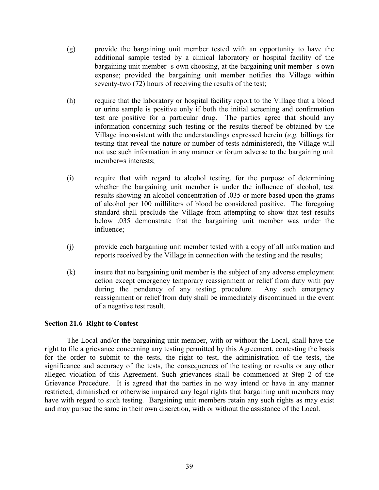- (g) provide the bargaining unit member tested with an opportunity to have the additional sample tested by a clinical laboratory or hospital facility of the bargaining unit member=s own choosing, at the bargaining unit member=s own expense; provided the bargaining unit member notifies the Village within seventy-two (72) hours of receiving the results of the test;
- (h) require that the laboratory or hospital facility report to the Village that a blood or urine sample is positive only if both the initial screening and confirmation test are positive for a particular drug. The parties agree that should any information concerning such testing or the results thereof be obtained by the Village inconsistent with the understandings expressed herein (*e.g.* billings for testing that reveal the nature or number of tests administered), the Village will not use such information in any manner or forum adverse to the bargaining unit member=s interests;
- (i) require that with regard to alcohol testing, for the purpose of determining whether the bargaining unit member is under the influence of alcohol, test results showing an alcohol concentration of .035 or more based upon the grams of alcohol per 100 milliliters of blood be considered positive. The foregoing standard shall preclude the Village from attempting to show that test results below .035 demonstrate that the bargaining unit member was under the influence;
- (j) provide each bargaining unit member tested with a copy of all information and reports received by the Village in connection with the testing and the results;
- (k) insure that no bargaining unit member is the subject of any adverse employment action except emergency temporary reassignment or relief from duty with pay during the pendency of any testing procedure. Any such emergency reassignment or relief from duty shall be immediately discontinued in the event of a negative test result.

# **Section 21.6 Right to Contest**

The Local and/or the bargaining unit member, with or without the Local, shall have the right to file a grievance concerning any testing permitted by this Agreement, contesting the basis for the order to submit to the tests, the right to test, the administration of the tests, the significance and accuracy of the tests, the consequences of the testing or results or any other alleged violation of this Agreement. Such grievances shall be commenced at Step 2 of the Grievance Procedure. It is agreed that the parties in no way intend or have in any manner restricted, diminished or otherwise impaired any legal rights that bargaining unit members may have with regard to such testing. Bargaining unit members retain any such rights as may exist and may pursue the same in their own discretion, with or without the assistance of the Local.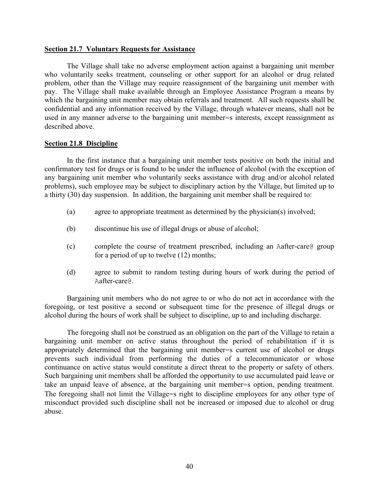### **Section 21.7 Voluntary Requests for Assistance**

The Village shall take no adverse employment action against a bargaining unit member who voluntarily seeks treatment, counseling or other support for an alcohol or drug related problem, other than the Village may require reassignment of the bargaining unit member with pay. The Village shall make available through an Employee Assistance Program a means by which the bargaining unit member may obtain referrals and treatment. All such requests shall be confidential and any information received by the Village, through whatever means, shall not be used in any manner adverse to the bargaining unit member=s interests, except reassignment as described above.

### **Section 21.8 Discipline**

In the first instance that a bargaining unit member tests positive on both the initial and confirmatory test for drugs or is found to be under the influence of alcohol (with the exception of any bargaining unit member who voluntarily seeks assistance with drug and/or alcohol related problems), such employee may be subject to disciplinary action by the Village, but limited up to a thirty (30) day suspension. In addition, the bargaining unit member shall be required to:

- (a) agree to appropriate treatment as determined by the physician(s) involved;
- (b) discontinue his use of illegal drugs or abuse of alcohol;
- (c) complete the course of treatment prescribed, including an Aafter-care@ group for a period of up to twelve (12) months;
- (d) agree to submit to random testing during hours of work during the period of Aafter-care@.

Bargaining unit members who do not agree to or who do not act in accordance with the foregoing, or test positive a second or subsequent time for the presence of illegal drugs or alcohol during the hours of work shall be subject to discipline, up to and including discharge.

The foregoing shall not be construed as an obligation on the part of the Village to retain a bargaining unit member on active status throughout the period of rehabilitation if it is appropriately determined that the bargaining unit member=s current use of alcohol or drugs prevents such individual from performing the duties of a telecommunicator or whose continuance on active status would constitute a direct threat to the property or safety of others. Such bargaining unit members shall be afforded the opportunity to use accumulated paid leave or take an unpaid leave of absence, at the bargaining unit member=s option, pending treatment. The foregoing shall not limit the Village=s right to discipline employees for any other type of misconduct provided such discipline shall not be increased or imposed due to alcohol or drug abuse.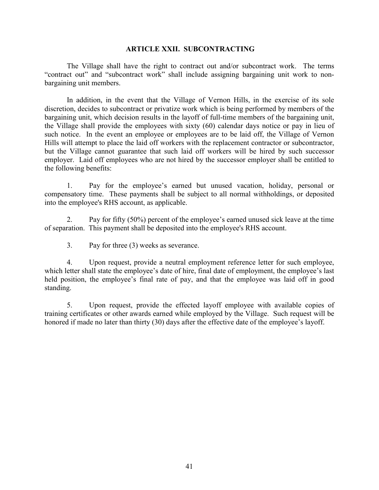# **ARTICLE XXII. SUBCONTRACTING**

The Village shall have the right to contract out and/or subcontract work. The terms "contract out" and "subcontract work" shall include assigning bargaining unit work to nonbargaining unit members.

In addition, in the event that the Village of Vernon Hills, in the exercise of its sole discretion, decides to subcontract or privatize work which is being performed by members of the bargaining unit, which decision results in the layoff of full-time members of the bargaining unit, the Village shall provide the employees with sixty (60) calendar days notice or pay in lieu of such notice. In the event an employee or employees are to be laid off, the Village of Vernon Hills will attempt to place the laid off workers with the replacement contractor or subcontractor, but the Village cannot guarantee that such laid off workers will be hired by such successor employer. Laid off employees who are not hired by the successor employer shall be entitled to the following benefits:

1. Pay for the employee's earned but unused vacation, holiday, personal or compensatory time. These payments shall be subject to all normal withholdings, or deposited into the employee's RHS account, as applicable.

2. Pay for fifty (50%) percent of the employee's earned unused sick leave at the time of separation. This payment shall be deposited into the employee's RHS account.

3. Pay for three (3) weeks as severance.

4. Upon request, provide a neutral employment reference letter for such employee, which letter shall state the employee's date of hire, final date of employment, the employee's last held position, the employee's final rate of pay, and that the employee was laid off in good standing.

5. Upon request, provide the effected layoff employee with available copies of training certificates or other awards earned while employed by the Village. Such request will be honored if made no later than thirty (30) days after the effective date of the employee's layoff.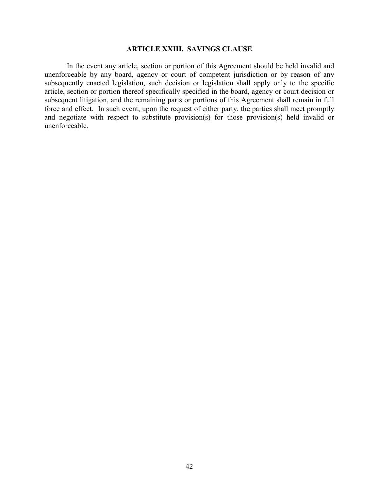# **ARTICLE XXIII. SAVINGS CLAUSE**

In the event any article, section or portion of this Agreement should be held invalid and unenforceable by any board, agency or court of competent jurisdiction or by reason of any subsequently enacted legislation, such decision or legislation shall apply only to the specific article, section or portion thereof specifically specified in the board, agency or court decision or subsequent litigation, and the remaining parts or portions of this Agreement shall remain in full force and effect. In such event, upon the request of either party, the parties shall meet promptly and negotiate with respect to substitute provision(s) for those provision(s) held invalid or unenforceable.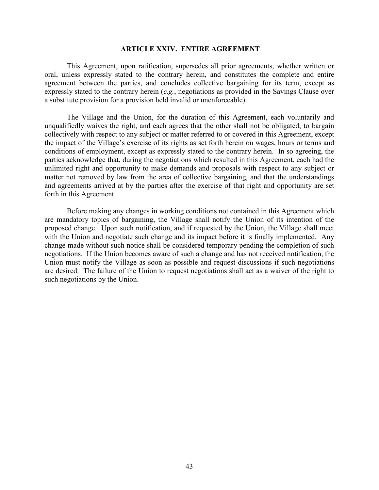### **ARTICLE XXIV. ENTIRE AGREEMENT**

This Agreement, upon ratification, supersedes all prior agreements, whether written or oral, unless expressly stated to the contrary herein, and constitutes the complete and entire agreement between the parties, and concludes collective bargaining for its term, except as expressly stated to the contrary herein (*e.g.*, negotiations as provided in the Savings Clause over a substitute provision for a provision held invalid or unenforceable).

The Village and the Union, for the duration of this Agreement, each voluntarily and unqualifiedly waives the right, and each agrees that the other shall not be obligated, to bargain collectively with respect to any subject or matter referred to or covered in this Agreement, except the impact of the Village's exercise of its rights as set forth herein on wages, hours or terms and conditions of employment, except as expressly stated to the contrary herein. In so agreeing, the parties acknowledge that, during the negotiations which resulted in this Agreement, each had the unlimited right and opportunity to make demands and proposals with respect to any subject or matter not removed by law from the area of collective bargaining, and that the understandings and agreements arrived at by the parties after the exercise of that right and opportunity are set forth in this Agreement.

Before making any changes in working conditions not contained in this Agreement which are mandatory topics of bargaining, the Village shall notify the Union of its intention of the proposed change. Upon such notification, and if requested by the Union, the Village shall meet with the Union and negotiate such change and its impact before it is finally implemented. Any change made without such notice shall be considered temporary pending the completion of such negotiations. If the Union becomes aware of such a change and has not received notification, the Union must notify the Village as soon as possible and request discussions if such negotiations are desired. The failure of the Union to request negotiations shall act as a waiver of the right to such negotiations by the Union.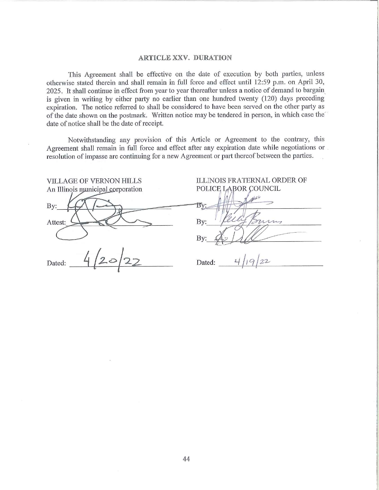#### **ARTICLE XXV. DURATION**

This Agreement shall be effective on the date of execution by both parties, unless otherwise stated therein and shall remain in full force and effect until 12:59 p.m. on April 30, 2025. It shall continue in effect from year to year thereafter unless a notice of demand to bargain is given in writing by either party no earlier than one hundred twenty (120) days preceding expiration. The notice referred to shall be considered to have been served on the other party as of the date shown on the postmark. Written notice may be tendered in person, in which case the date of notice shall be the date of receipt.

Notwithstanding any provision of this Article or Agreement to the contrary, this Agreement shall remain in full force and effect after any expiration date while negotiations or resolution of impasse are continuing for a new Agreement or part thereof between the parties.

| <b>VILLAGE OF VERNON HILLS</b>    | ILLINOIS FRATERNAL ORDER OF |
|-----------------------------------|-----------------------------|
| An Illinois municipal corporation | POLICE LABOR COUNCIL        |
| By:                               | Вy:                         |
| Attest:                           | mins<br>By:                 |
|                                   | By:                         |
| 20/22<br>Dated:                   | 22<br>Dated:                |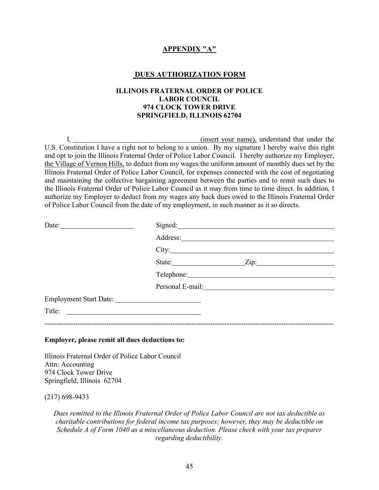# **APPENDIX "A"**

### **DUES AUTHORIZATION FORM**

# **ILLINOIS FRATERNAL ORDER OF POLICE LABOR COUNCIL 974 CLOCK TOWER DRIVE SPRINGFIELD, ILLINOIS 62704**

I, (insert your name), understand that under the U.S. Constitution I have a right not to belong to a union. By my signature I hereby waive this right and opt to join the Illinois Fraternal Order of Police Labor Council. I hereby authorize my Employer, the Village of Vernon Hills, to deduct from my wages the uniform amount of monthly dues set by the Illinois Fraternal Order of Police Labor Council, for expenses connected with the cost of negotiating and maintaining the collective bargaining agreement between the parties and to remit such dues to the Illinois Fraternal Order of Police Labor Council as it may from time to time direct. In addition, I authorize my Employer to deduct from my wages any back dues owed to the Illinois Fraternal Order of Police Labor Council from the date of my employment, in such manner as it so directs.

| Date: 2008             | Signed: National Communication of the Communication of the Communication of the Communication of the Communication of the Communication of the Communication of the Communication of the Communication of the Communication of |
|------------------------|--------------------------------------------------------------------------------------------------------------------------------------------------------------------------------------------------------------------------------|
|                        | Address: No. 1998                                                                                                                                                                                                              |
|                        | City: City:                                                                                                                                                                                                                    |
|                        | State: <u>Zip:</u> Zip:                                                                                                                                                                                                        |
|                        | Telephone: New York Changes and Telephone Changes and Telephone Changes and Telephone Changes and Telephone Changes and Telephone Changes and Telephone Changes and Telephone Changes and Telephone Changes and Telephone Chan |
|                        |                                                                                                                                                                                                                                |
| Employment Start Date: |                                                                                                                                                                                                                                |
|                        |                                                                                                                                                                                                                                |
|                        |                                                                                                                                                                                                                                |

### **Employer, please remit all dues deductions to:**

Illinois Fraternal Order of Police Labor Council Attn: Accounting 974 Clock Tower Drive Springfield, Illinois 62704

(217) 698-9433

*Dues remitted to the Illinois Fraternal Order of Police Labor Council are not tax deductible as charitable contributions for federal income tax purposes; however, they may be deductible on Schedule A of Form 1040 as a miscellaneous deduction. Please check with your tax preparer regarding deductibility.*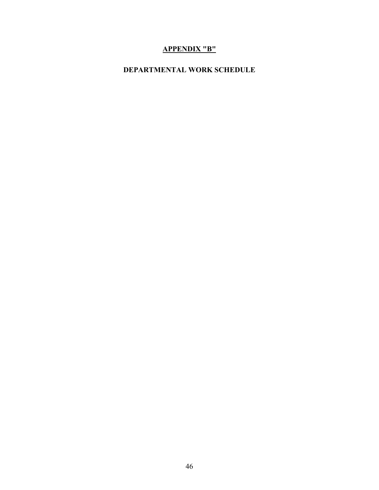# **APPENDIX "B"**

# **DEPARTMENTAL WORK SCHEDULE**